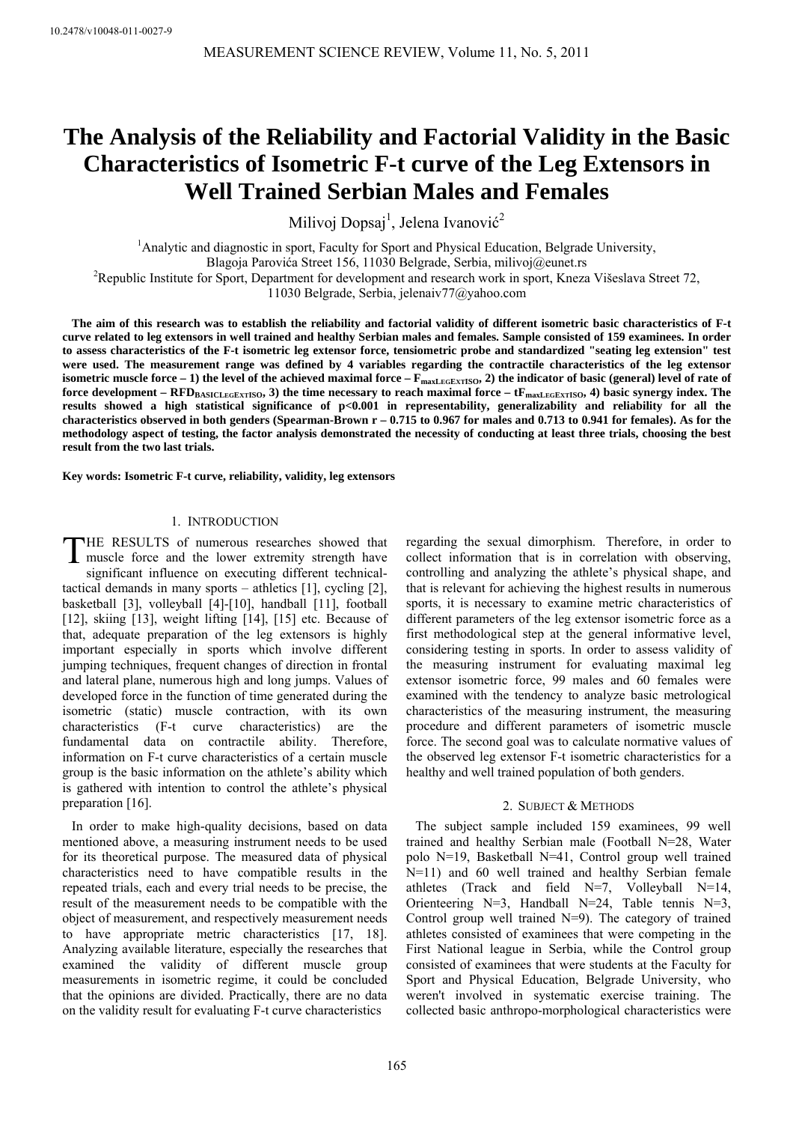# **The Analysis of the Reliability and Factorial Validity in the Basic Characteristics of Isometric F-t curve of the Leg Extensors in Well Trained Serbian Males and Females**

Milivoj Dopsaj<sup>1</sup>, Jelena Ivanović<sup>2</sup>

<sup>1</sup> Analytic and diagnostic in sport, Faculty for Sport and Physical Education, Belgrade University, Blagoja Parovića Street 156, 11030 Belgrade, Serbia, milivoj@eunet.rs 2 <sup>2</sup>Republic Institute for Sport, Department for development and research work in sport, Kneza Višeslava Street 72,

11030 Belgrade, Serbia, jelenaiv77@yahoo.com

**The aim of this research was to establish the reliability and factorial validity of different isometric basic characteristics of F-t curve related to leg extensors in well trained and healthy Serbian males and females. Sample consisted of 159 examinees. In order to assess characteristics of the F-t isometric leg extensor force, tensiometric probe and standardized "seating leg extension" test were used. The measurement range was defined by 4 variables regarding the contractile characteristics of the leg extensor**  isometric muscle force  $-1$ ) the level of the achieved maximal force  $-F_{\text{maxLEGEXTISO}}$ , 2) the indicator of basic (general) level of rate of force development –  $RFD_{\text{BASICLEGETISO}}$ , 3) the time necessary to reach maximal force –  $tF_{\text{maxLEGETISO}}$ , 4) basic synergy index. The **results showed a high statistical significance of p<0.001 in representability, generalizability and reliability for all the characteristics observed in both genders (Spearman-Brown r – 0.715 to 0.967 for males and 0.713 to 0.941 for females). As for the methodology aspect of testing, the factor analysis demonstrated the necessity of conducting at least three trials, choosing the best result from the two last trials.** 

**Key words: Isometric F-t curve, reliability, validity, leg extensors** 

# 1. INTRODUCTION

HE RESULTS of numerous researches showed that THE RESULTS of numerous researches showed that<br>muscle force and the lower extremity strength have significant influence on executing different technicaltactical demands in many sports – athletics [1], cycling [2], basketball [3], volleyball [4]-[10], handball [11], football [12], skiing [13], weight lifting [14], [15] etc. Because of that, adequate preparation of the leg extensors is highly important especially in sports which involve different jumping techniques, frequent changes of direction in frontal and lateral plane, numerous high and long jumps. Values of developed force in the function of time generated during the isometric (static) muscle contraction, with its own characteristics (F-t curve characteristics) are the fundamental data on contractile ability. Therefore, information on F-t curve characteristics of a certain muscle group is the basic information on the athlete's ability which is gathered with intention to control the athlete's physical preparation [16].

In order to make high-quality decisions, based on data mentioned above, a measuring instrument needs to be used for its theoretical purpose. The measured data of physical characteristics need to have compatible results in the repeated trials, each and every trial needs to be precise, the result of the measurement needs to be compatible with the object of measurement, and respectively measurement needs to have appropriate metric characteristics [17, 18]. Analyzing available literature, especially the researches that examined the validity of different muscle group measurements in isometric regime, it could be concluded that the opinions are divided. Practically, there are no data on the validity result for evaluating F-t curve characteristics

regarding the sexual dimorphism. Therefore, in order to collect information that is in correlation with observing, controlling and analyzing the athlete's physical shape, and that is relevant for achieving the highest results in numerous sports, it is necessary to examine metric characteristics of different parameters of the leg extensor isometric force as a first methodological step at the general informative level, considering testing in sports. In order to assess validity of the measuring instrument for evaluating maximal leg extensor isometric force, 99 males and 60 females were examined with the tendency to analyze basic metrological characteristics of the measuring instrument, the measuring procedure and different parameters of isometric muscle force. The second goal was to calculate normative values of the observed leg extensor F-t isometric characteristics for a healthy and well trained population of both genders.

## 2. SUBJECT & METHODS

The subject sample included 159 examinees, 99 well trained and healthy Serbian male (Football N=28, Water polo N=19, Basketball N=41, Control group well trained N=11) and 60 well trained and healthy Serbian female athletes (Track and field N=7, Volleyball N=14, Orienteering  $N=3$ , Handball  $N=24$ , Table tennis  $N=3$ , Control group well trained N=9). The category of trained athletes consisted of examinees that were competing in the First National league in Serbia, while the Control group consisted of examinees that were students at the Faculty for Sport and Physical Education, Belgrade University, who weren't involved in systematic exercise training. The collected basic anthropo-morphological characteristics were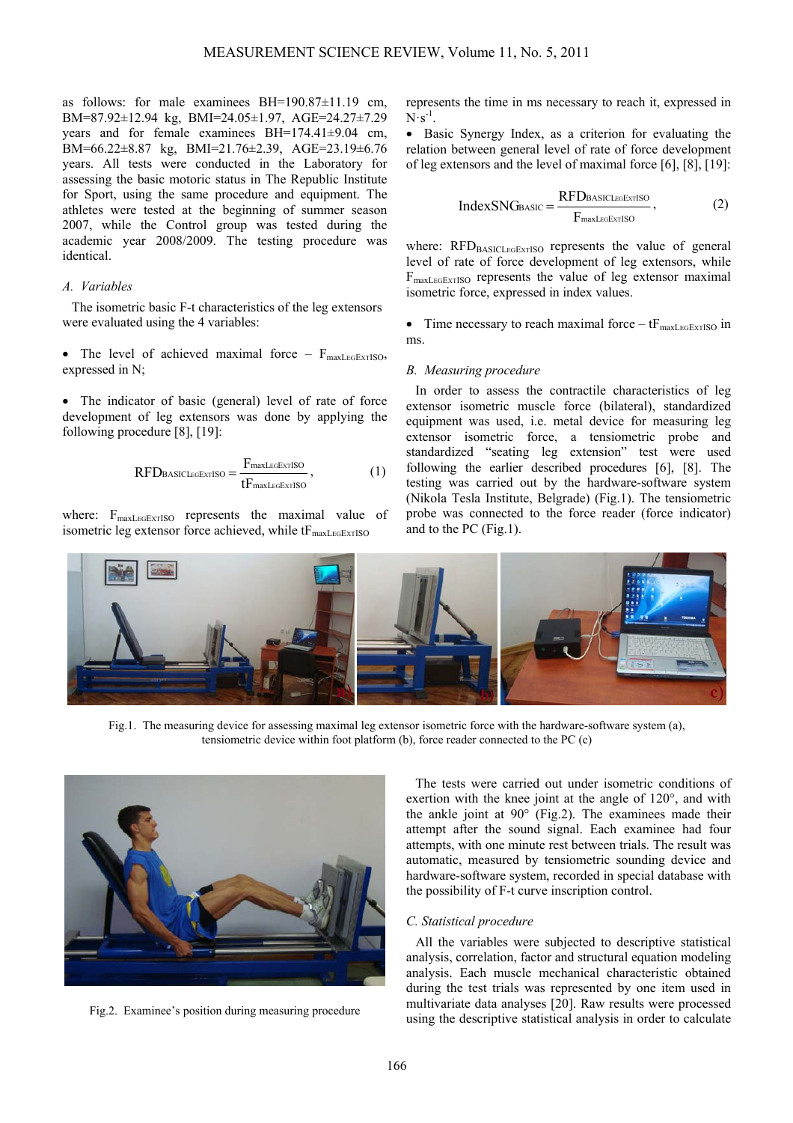as follows: for male examinees BH=190.87±11.19 cm, BM=87.92±12.94 kg, BMI=24.05±1.97, AGE=24.27±7.29 years and for female examinees BH=174.41±9.04 cm, BM=66.22±8.87 kg, BMI=21.76±2.39, AGE=23.19±6.76 years. All tests were conducted in the Laboratory for assessing the basic motoric status in The Republic Institute for Sport, using the same procedure and equipment. The athletes were tested at the beginning of summer season 2007, while the Control group was tested during the academic year 2008/2009. The testing procedure was identical.

### *A. Variables*

The isometric basic F-t characteristics of the leg extensors were evaluated using the 4 variables:

• The level of achieved maximal force –  $F_{\text{maxLEGEXTISO}}$ , expressed in N;

• The indicator of basic (general) level of rate of force development of leg extensors was done by applying the following procedure [8], [19]:

$$
RFD_{\text{BASICLEGEXTISO}} = \frac{F_{\text{maxLEGEXTISO}}}{tF_{\text{maxLEGEXTISO}}},\tag{1}
$$

where: F<sub>maxLEGEXTISO</sub> represents the maximal value of isometric leg extensor force achieved, while  $tF_{maxLEGExTISO}$ 

represents the time in ms necessary to reach it, expressed in  $N \cdot s^{-1}$ .

• Basic Synergy Index, as a criterion for evaluating the relation between general level of rate of force development of leg extensors and the level of maximal force [6], [8], [19]:

$$
Index SNG_{BASE} = \frac{RFD_{BASELEGExrISO}}{F_{maxLEGExrISO}},
$$
 (2)

where:  $\text{RFD}_{\text{BASICLEGEXT}{}_{\text{ISO}}}$  represents the value of general level of rate of force development of leg extensors, while FmaxLEGEXTISO represents the value of leg extensor maximal isometric force, expressed in index values.

• Time necessary to reach maximal force –  $tF_{\text{maxLEGEXT}}$  in ms.

#### *B. Measuring procedure*

In order to assess the contractile characteristics of leg extensor isometric muscle force (bilateral), standardized equipment was used, i.e. metal device for measuring leg extensor isometric force, a tensiometric probe and standardized "seating leg extension" test were used following the earlier described procedures [6], [8]. The testing was carried out by the hardware-software system (Nikola Tesla Institute, Belgrade) (Fig.1). The tensiometric probe was connected to the force reader (force indicator) and to the PC (Fig.1).



Fig.1. The measuring device for assessing maximal leg extensor isometric force with the hardware-software system (a), tensiometric device within foot platform (b), force reader connected to the PC (c)



Fig.2. Examinee's position during measuring procedure

The tests were carried out under isometric conditions of exertion with the knee joint at the angle of 120°, and with the ankle joint at 90° (Fig.2). The examinees made their attempt after the sound signal. Each examinee had four attempts, with one minute rest between trials. The result was automatic, measured by tensiometric sounding device and hardware-software system, recorded in special database with the possibility of F-t curve inscription control.

#### *C. Statistical procedure*

All the variables were subjected to descriptive statistical analysis, correlation, factor and structural equation modeling analysis. Each muscle mechanical characteristic obtained during the test trials was represented by one item used in multivariate data analyses [20]. Raw results were processed using the descriptive statistical analysis in order to calculate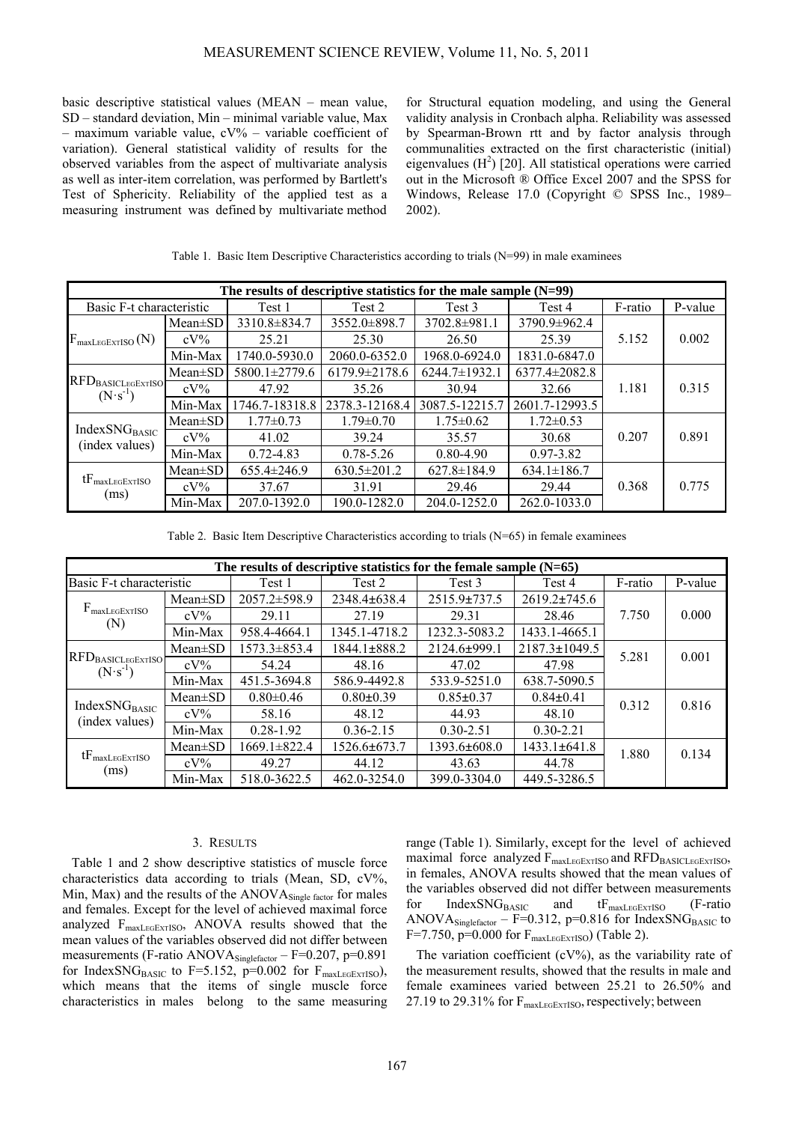basic descriptive statistical values (MEAN – mean value, SD – standard deviation, Min – minimal variable value, Max – maximum variable value,  $cV\%$  – variable coefficient of variation). General statistical validity of results for the observed variables from the aspect of multivariate analysis as well as inter-item correlation, was performed by Bartlett's Test of Sphericity. Reliability of the applied test as a measuring instrument was defined by multivariate method

for Structural equation modeling, and using the General validity analysis in Cronbach alpha. Reliability was assessed by Spearman-Brown rtt and by factor analysis through communalities extracted on the first characteristic (initial) eigenvalues  $(H<sup>2</sup>)$  [20]. All statistical operations were carried out in the Microsoft ® Office Excel 2007 and the SPSS for Windows, Release 17.0 (Copyright © SPSS Inc., 1989– 2002).

| The results of descriptive statistics for the male sample $(N=99)$ |               |                   |                     |                     |                     |         |         |  |
|--------------------------------------------------------------------|---------------|-------------------|---------------------|---------------------|---------------------|---------|---------|--|
| Basic F-t characteristic                                           |               | Test 1            | Test 2              | Test 3              | Test 4              | F-ratio | P-value |  |
|                                                                    | $Mean \pm SD$ | 3310.8 ± 834.7    | 3552.0±898.7        | $3702.8 \pm 981.1$  | 3790.9±962.4        |         |         |  |
| $F_{maxLEGEXTISO}(N)$                                              | $cV\%$        | 25.21             | 25.30               | 26.50               | 25.39               | 5.152   | 0.002   |  |
|                                                                    | Min-Max       | 1740.0-5930.0     | 2060.0-6352.0       | 1968.0-6924.0       | 1831.0-6847.0       |         |         |  |
| $\mathsf{RFD}_{\mathsf{BASICLEGEXT}{}ISO}$<br>$(N\cdot s^{-1})$    | $Mean \pm SD$ | 5800.1±2779.6     | $6179.9 \pm 2178.6$ | $6244.7 \pm 1932.1$ | $6377.4 \pm 2082.8$ |         |         |  |
|                                                                    | $cV\%$        | 47.92             | 35.26               | 30.94               | 32.66               | 1.181   |         |  |
|                                                                    | Min-Max       | 1746.7-18318.8    | 2378.3-12168.4      | 3087.5-12215.7      | 2601.7-12993.5      |         |         |  |
|                                                                    | $Mean \pm SD$ | $1.77 \pm 0.73$   | $1.79 \pm 0.70$     | $1.75 \pm 0.62$     | $1.72 \pm 0.53$     |         |         |  |
| IndexSNG <sub>BASIC</sub><br>(index values)                        | $cV\%$        | 41.02             | 39.24               | 35.57               | 30.68               | 0.207   | 0.891   |  |
|                                                                    | Min-Max       | $0.72 - 4.83$     | $0.78 - 5.26$       | 0.80-4.90           | $0.97 - 3.82$       |         |         |  |
| $tF_{\text{maxLEGEXTISO}}$<br>(ms)                                 | $Mean \pm SD$ | $655.4 \pm 246.9$ | $630.5 \pm 201.2$   | $627.8 \pm 184.9$   | $634.1 \pm 186.7$   |         |         |  |
|                                                                    | $cV\%$        | 37.67             | 31.91               | 29.46               | 29.44               | 0.368   | 0.775   |  |
|                                                                    | Min-Max       | 207.0-1392.0      | 190.0-1282.0        | 204.0-1252.0        | 262.0-1033.0        |         |         |  |

Table 2. Basic Item Descriptive Characteristics according to trials (N=65) in female examinees

| The results of descriptive statistics for the female sample $(N=65)$ |               |                    |                    |                    |                     |         |         |  |
|----------------------------------------------------------------------|---------------|--------------------|--------------------|--------------------|---------------------|---------|---------|--|
| Basic F-t characteristic                                             |               | Test 1             | Test 2             | Test 3             | Test 4              | F-ratio | P-value |  |
|                                                                      | $Mean \pm SD$ | $2057.2 \pm 598.9$ | $2348.4 \pm 638.4$ | $2515.9 \pm 737.5$ | $2619.2\pm 745.6$   |         |         |  |
| $F_{\rm maxLEGEXTISO}$                                               | $cV\%$        | 29.11              | 27.19              | 29.31              | 28.46               | 7.750   | 0.000   |  |
| (N)                                                                  | Min-Max       | 958.4-4664.1       | 1345.1-4718.2      | 1232.3-5083.2      | 1433.1-4665.1       |         |         |  |
|                                                                      | $Mean \pm SD$ | 1573.3±853.4       | 1844.1±888.2       | 2124.6±999.1       | $2187.3 \pm 1049.5$ | 5.281   | 0.001   |  |
| $\text{RFD}_{\text{BASICLegEXT}}$<br>$(N\ s^{-1})$                   | $cV\%$        | 54.24              | 48.16              | 47.02              | 47.98               |         |         |  |
|                                                                      | Min-Max       | 451.5-3694.8       | 586.9-4492.8       | 533.9-5251.0       | 638.7-5090.5        |         |         |  |
|                                                                      | $Mean \pm SD$ | $0.80 \pm 0.46$    | $0.80 \pm 0.39$    | $0.85 \pm 0.37$    | $0.84 \pm 0.41$     | 0.312   | 0.816   |  |
| IndexSNG <sub>BASIC</sub><br>(index values)                          | $cV\%$        | 58.16              | 48.12              | 44.93              | 48.10               |         |         |  |
|                                                                      | Min-Max       | $0.28 - 1.92$      | $0.36 - 2.15$      | $0.30 - 2.51$      | $0.30 - 2.21$       |         |         |  |
| $tF_{\text{maxLEGEXTISO}}$<br>(ms)                                   | $Mean \pm SD$ | $1669.1 \pm 822.4$ | 1526.6±673.7       | $1393.6 \pm 608.0$ | $1433.1 \pm 641.8$  | 1.880   | 0.134   |  |
|                                                                      | $cV\%$        | 49.27              | 44.12              | 43.63              | 44.78               |         |         |  |
|                                                                      | Min-Max       | 518.0-3622.5       | 462.0-3254.0       | 399.0-3304.0       | 449.5-3286.5        |         |         |  |

# 3. RESULTS

Table 1 and 2 show descriptive statistics of muscle force characteristics data according to trials (Mean, SD, cV%, Min, Max) and the results of the ANOVA<sub>Single factor</sub> for males and females. Except for the level of achieved maximal force analyzed F<sub>maxLEGEXTISO</sub>, ANOVA results showed that the mean values of the variables observed did not differ between measurements (F-ratio ANOVA<sub>Singlefactor</sub> - F=0.207, p=0.891 for IndexSNG<sub>BASIC</sub> to F=5.152,  $p=0.002$  for  $F_{maxLEGEXTISO}$ ), which means that the items of single muscle force characteristics in males belong to the same measuring range (Table 1). Similarly, except for the level of achieved maximal force analyzed  $F_{\text{maxLEGEXTISO}}$  and  $\text{RFD}_{\text{BASICLEGEXTISO}}$ , in females, ANOVA results showed that the mean values of the variables observed did not differ between measurements for IndexSNG<sub>BASIC</sub> and  $tF_{maxLEGEXTISO}$  (F-ratio  $ANOVA<sub>Singlefactor</sub> - F=0.312$ , p=0.816 for IndexSNG<sub>BASIC</sub> to F=7.750, p=0.000 for  $F_{\text{maxLEGEXTISO}}$ ) (Table 2).

The variation coefficient (cV%), as the variability rate of the measurement results, showed that the results in male and female examinees varied between 25.21 to 26.50% and 27.19 to 29.31% for  $F_{\text{maxLEGEXTISO}}$ , respectively; between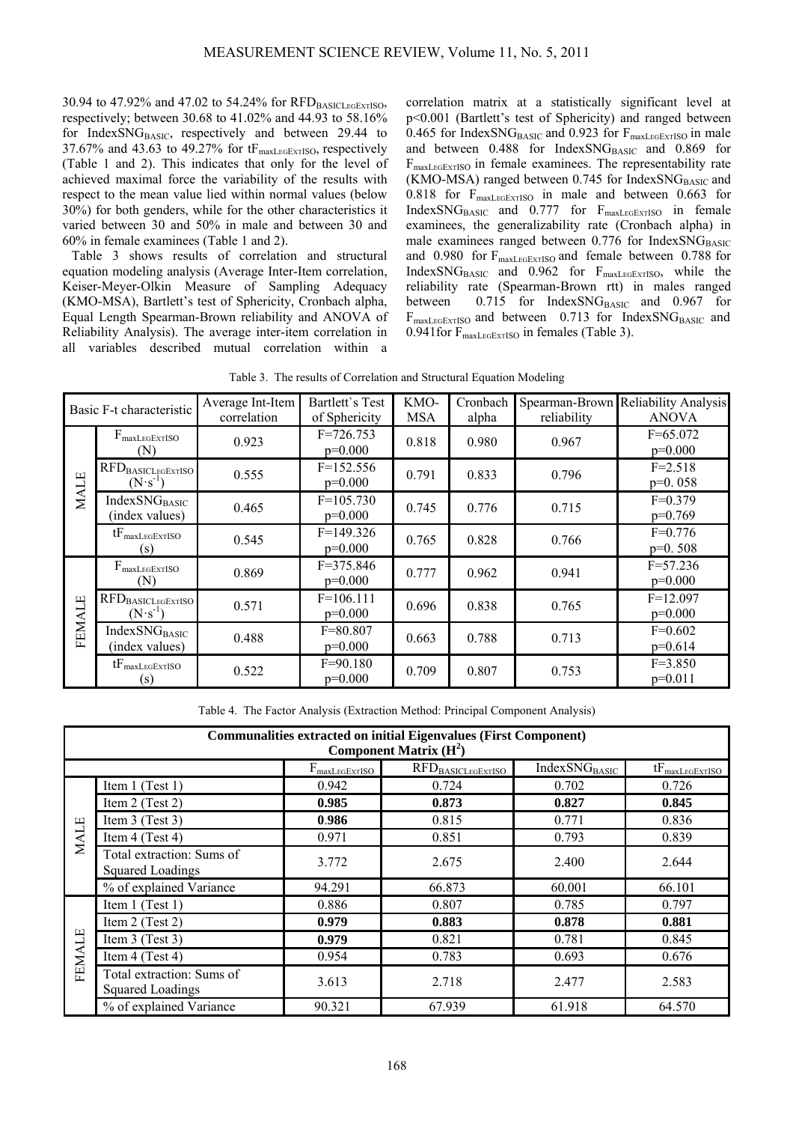30.94 to 47.92% and 47.02 to 54.24% for RFD<sub>BASICLEGEXTISO</sub>, respectively; between 30.68 to 41.02% and 44.93 to 58.16% for IndexSN $G_{\text{BASIC}}$ , respectively and between 29.44 to 37.67% and 43.63 to 49.27% for  $tF_{\text{maxLEGEXTISO}}$ , respectively (Table 1 and 2). This indicates that only for the level of achieved maximal force the variability of the results with respect to the mean value lied within normal values (below 30%) for both genders, while for the other characteristics it varied between 30 and 50% in male and between 30 and 60% in female examinees (Table 1 and 2).

Table 3 shows results of correlation and structural equation modeling analysis (Average Inter-Item correlation, Keiser-Meyer-Olkin Measure of Sampling Adequacy (KMO-MSA), Bartlett's test of Sphericity, Cronbach alpha, Equal Length Spearman-Brown reliability and ANOVA of Reliability Analysis). The average inter-item correlation in all variables described mutual correlation within a correlation matrix at a statistically significant level at p<0.001 (Bartlett's test of Sphericity) and ranged between 0.465 for IndexSNG<sub>BASIC</sub> and 0.923 for  $F_{\text{maxLEGEXTISO}}$  in male and between  $0.488$  for IndexSNG<sub>BASIC</sub> and  $0.869$  for  $F_{\text{maxLEGEXTISO}}$  in female examinees. The representability rate  $(KMO\text{-}MSA)$  ranged between 0.745 for IndexSN $G<sub>BASIC</sub>$  and 0.818 for FmaxLEGEXTISO in male and between 0.663 for  $Index SNG<sub>BASIC</sub>$  and 0.777 for  $F<sub>maxLEGEXTISO</sub>$  in female examinees, the generalizability rate (Cronbach alpha) in male examinees ranged between  $0.776$  for IndexSN $G<sub>BASE</sub>$ and 0.980 for F<sub>maxLEGEXTISO</sub> and female between 0.788 for IndexSNG<sub>BASIC</sub> and  $0.962$  for  $F_{maxLeGEXTISO}$ , while the reliability rate (Spearman-Brown rtt) in males ranged between 0.715 for IndexSNG<sub>BASIC</sub> and 0.967 for  $F_{\text{maxLEGEXTISO}}$  and between 0.713 for IndexSNG<sub>BASIC</sub> and 0.941 for  $F_{\text{maxLEGEXT}}$  in females (Table 3).

| Basic F-t characteristic |                                                         | Average Int-Item<br>correlation | Bartlett's Test<br>of Sphericity | KMO-<br><b>MSA</b> | Cronbach<br>alpha | reliability | Spearman-Brown Reliability Analysis<br><b>ANOVA</b> |  |
|--------------------------|---------------------------------------------------------|---------------------------------|----------------------------------|--------------------|-------------------|-------------|-----------------------------------------------------|--|
| <b>MALE</b>              | $F_{\text{maxLEGEXTISO}}$<br>(N)                        | 0.923                           | $F = 726.753$<br>$p=0.000$       | 0.818              | 0.980             | 0.967       | $F=65.072$<br>$p=0.000$                             |  |
|                          | $\rm{RFD}_{\rm {BASICLEGEXT} ISO}$<br>$(N\cdot s^{-1})$ | 0.555                           | $F=152.556$<br>$p=0.000$         | 0.791              | 0.833             | 0.796       | $F = 2.518$<br>$p=0.058$                            |  |
|                          | <b>IndexSNG</b> BASIC<br>(index values)                 | 0.465                           | $F=105.730$<br>$p=0.000$         | 0.745              | 0.776             | 0.715       | $F=0.379$<br>$p=0.769$                              |  |
|                          | $tF_{\text{maxLEGEXTISO}}$<br>(s)                       | 0.545                           | $F=149.326$<br>$p=0.000$         | 0.765              | 0.828             | 0.766       | $F=0.776$<br>$p=0.508$                              |  |
| <b>FEMALE</b>            | $F_{\text{maxLEGEXTISO}}$<br>(N)                        | 0.869                           | $F = 375.846$<br>$p=0.000$       | 0.777              | 0.962             | 0.941       | $F = 57.236$<br>$p=0.000$                           |  |
|                          | $\rm{RFD_{BASICLEGEXT}$ ISO<br>$(N\cdot s^{-1})$        | 0.571                           | $F=106.111$<br>$p=0.000$         | 0.696              | 0.838             | 0.765       | $F=12.097$<br>$p=0.000$                             |  |
|                          | IndexSNG <sub>BASIC</sub><br>(index values)             | 0.488                           | $F = 80.807$<br>$p=0.000$        | 0.663              | 0.788             | 0.713       | $F=0.602$<br>$p=0.614$                              |  |
|                          | $tF_{maxLEGEXTISO}$<br>(s)                              | 0.522                           | $F=90.180$<br>$p=0.000$          | 0.709              | 0.807             | 0.753       | $F=3.850$<br>$p=0.011$                              |  |

Table 3. The results of Correlation and Structural Equation Modeling

Table 4. The Factor Analysis (Extraction Method: Principal Component Analysis)

|               | <b>Communalities extracted on initial Eigenvalues (First Component)</b><br>Component Matrix $(H^2)$ |        |        |        |        |  |  |  |  |  |
|---------------|-----------------------------------------------------------------------------------------------------|--------|--------|--------|--------|--|--|--|--|--|
|               | IndexSNGBASIC<br>RFD <sub>BASICLEGEXTISO</sub><br>$F_{maxLEGEXTISO}$<br>$tF_{maxLEGEXTISO}$         |        |        |        |        |  |  |  |  |  |
|               | Item $1$ (Test 1)                                                                                   | 0.942  | 0.724  | 0.702  | 0.726  |  |  |  |  |  |
|               | Item $2$ (Test 2)                                                                                   | 0.985  | 0.873  | 0.827  | 0.845  |  |  |  |  |  |
|               | Item $3$ (Test 3)                                                                                   | 0.986  | 0.815  | 0.771  | 0.836  |  |  |  |  |  |
| <b>MALE</b>   | Item $4$ (Test 4)                                                                                   | 0.971  | 0.851  | 0.793  | 0.839  |  |  |  |  |  |
|               | Total extraction: Sums of<br><b>Squared Loadings</b>                                                | 3.772  | 2.675  | 2.400  | 2.644  |  |  |  |  |  |
|               | % of explained Variance<br>94.291                                                                   |        | 66.873 | 60.001 | 66.101 |  |  |  |  |  |
|               | Item $1$ (Test 1)                                                                                   | 0.886  | 0.807  | 0.785  | 0.797  |  |  |  |  |  |
|               | Item $2$ (Test 2)                                                                                   | 0.979  | 0.883  | 0.878  | 0.881  |  |  |  |  |  |
|               | Item $3$ (Test $3$ )                                                                                | 0.979  | 0.821  | 0.781  | 0.845  |  |  |  |  |  |
| <b>FEMALE</b> | Item $4$ (Test 4)<br>0.954                                                                          |        | 0.783  | 0.693  | 0.676  |  |  |  |  |  |
|               | Total extraction: Sums of<br>3.613<br><b>Squared Loadings</b>                                       |        | 2.718  | 2.477  | 2.583  |  |  |  |  |  |
|               | % of explained Variance                                                                             | 90.321 | 67.939 | 61.918 | 64.570 |  |  |  |  |  |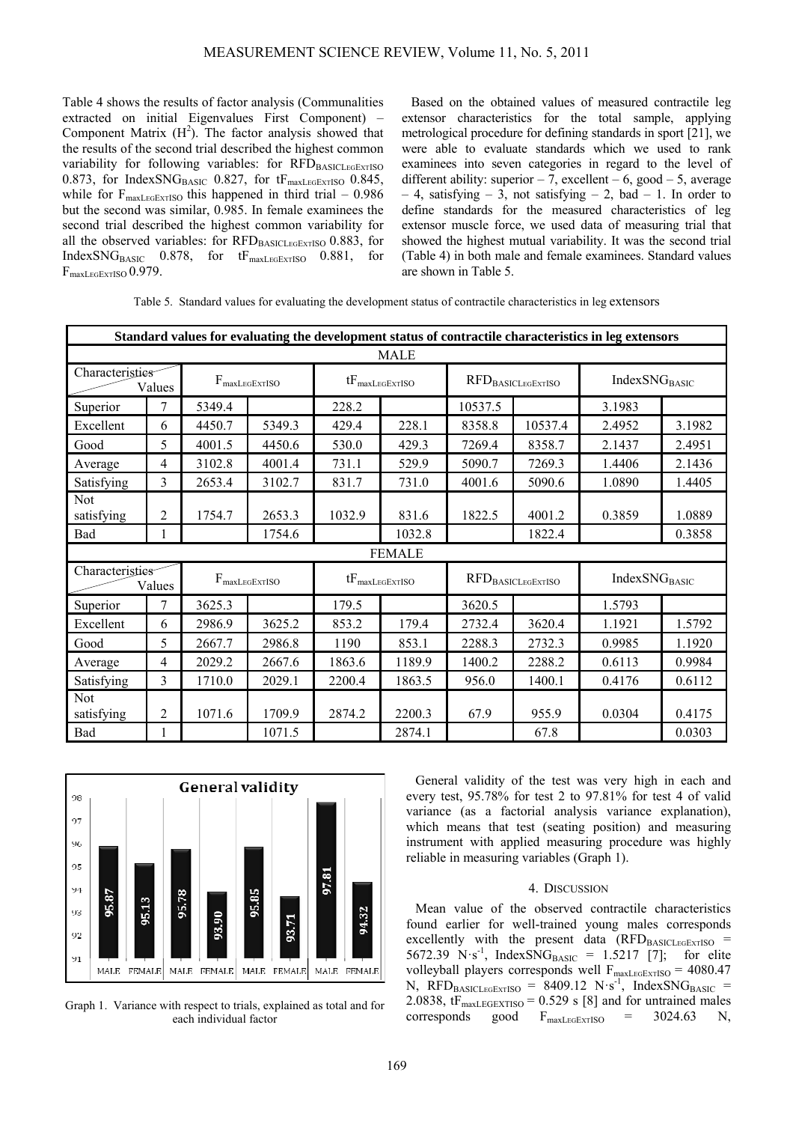Table 4 shows the results of factor analysis (Communalities extracted on initial Eigenvalues First Component) – Component Matrix  $(H<sup>2</sup>)$ . The factor analysis showed that the results of the second trial described the highest common variability for following variables: for  $\text{RFD}_{\text{BASIC} \text{EGEXT} \text{ISO}}$ 0.873, for IndexSNG<sub>BASIC</sub> 0.827, for  $tF_{maxLeGEXT}$  0.845, while for  $F_{\text{maxLEGEXT}}$  this happened in third trial – 0.986 but the second was similar, 0.985. In female examinees the second trial described the highest common variability for all the observed variables: for  $\text{RFD}_{\text{BASELEGEXT}}$  0.883, for IndexSNG<sub>BASIC</sub> 0.878, for  $t_{maxLegExTISO}$  0.881, for F<sub>maxLEGEXTISO</sub> 0.979.

Based on the obtained values of measured contractile leg extensor characteristics for the total sample, applying metrological procedure for defining standards in sport [21], we were able to evaluate standards which we used to rank examinees into seven categories in regard to the level of different ability: superior  $-7$ , excellent  $-6$ , good  $-5$ , average  $-4$ , satisfying  $-3$ , not satisfying  $-2$ , bad  $-1$ . In order to define standards for the measured characteristics of leg extensor muscle force, we used data of measuring trial that showed the highest mutual variability. It was the second trial (Table 4) in both male and female examinees. Standard values are shown in Table 5.

Table 5. Standard values for evaluating the development status of contractile characteristics in leg extensors

| Standard values for evaluating the development status of contractile characteristics in leg extensors |                |                           |        |                            |               |                                    |         |               |        |
|-------------------------------------------------------------------------------------------------------|----------------|---------------------------|--------|----------------------------|---------------|------------------------------------|---------|---------------|--------|
| <b>MALE</b>                                                                                           |                |                           |        |                            |               |                                    |         |               |        |
| Characteristies<br>Values                                                                             |                | $F_{\text{maxLEGEXTISO}}$ |        | $tF_{\text{maxLEGEXTISO}}$ |               | $\rm{RFD}_{\rm {BASICLEGEXT} ISO}$ |         | IndexSNGBASIC |        |
| Superior                                                                                              | 7              | 5349.4                    |        | 228.2                      |               | 10537.5                            |         | 3.1983        |        |
| Excellent                                                                                             | 6              | 4450.7                    | 5349.3 | 429.4                      | 228.1         | 8358.8                             | 10537.4 | 2.4952        | 3.1982 |
| Good                                                                                                  | 5              | 4001.5                    | 4450.6 | 530.0                      | 429.3         | 7269.4                             | 8358.7  | 2.1437        | 2.4951 |
| Average                                                                                               | $\overline{4}$ | 3102.8                    | 4001.4 | 731.1                      | 529.9         | 5090.7                             | 7269.3  | 1.4406        | 2.1436 |
| Satisfying                                                                                            | 3              | 2653.4                    | 3102.7 | 831.7                      | 731.0         | 4001.6                             | 5090.6  | 1.0890        | 1.4405 |
| <b>Not</b><br>satisfying                                                                              | $\overline{2}$ | 1754.7                    | 2653.3 | 1032.9                     | 831.6         | 1822.5                             | 4001.2  | 0.3859        | 1.0889 |
| Bad                                                                                                   | 1              |                           | 1754.6 |                            | 1032.8        |                                    | 1822.4  |               | 0.3858 |
|                                                                                                       |                |                           |        |                            | <b>FEMALE</b> |                                    |         |               |        |
| Characteristies<br>Values                                                                             |                | $\rm F_{maxLeGExriSO}$    |        | $tF_{maxLEGEXTISO}$        |               | $\rm RFD_{BASICLEGEXT}$ ISO        |         | IndexSNGBASIC |        |
| Superior                                                                                              | 7              | 3625.3                    |        | 179.5                      |               | 3620.5                             |         | 1.5793        |        |
| Excellent                                                                                             | 6              | 2986.9                    | 3625.2 | 853.2                      | 179.4         | 2732.4                             | 3620.4  | 1.1921        | 1.5792 |
| Good                                                                                                  | 5              | 2667.7                    | 2986.8 | 1190                       | 853.1         | 2288.3                             | 2732.3  | 0.9985        | 1.1920 |
| Average                                                                                               | 4              | 2029.2                    | 2667.6 | 1863.6                     | 1189.9        | 1400.2                             | 2288.2  | 0.6113        | 0.9984 |
| Satisfying                                                                                            | 3              | 1710.0                    | 2029.1 | 2200.4                     | 1863.5        | 956.0                              | 1400.1  | 0.4176        | 0.6112 |
| <b>Not</b><br>satisfying                                                                              | 2              | 1071.6                    | 1709.9 | 2874.2                     | 2200.3        | 67.9                               | 955.9   | 0.0304        | 0.4175 |
| Bad                                                                                                   |                |                           | 1071.5 |                            | 2874.1        |                                    | 67.8    |               | 0.0303 |



Graph 1. Variance with respect to trials, explained as total and for each individual factor

General validity of the test was very high in each and every test, 95.78% for test 2 to 97.81% for test 4 of valid variance (as a factorial analysis variance explanation), which means that test (seating position) and measuring instrument with applied measuring procedure was highly reliable in measuring variables (Graph 1).

#### 4. DISCUSSION

Mean value of the observed contractile characteristics found earlier for well-trained young males corresponds excellently with the present data  $(RFD_{BASICLEGEXTISO}$  = 5672.39  $N \cdot s^{-1}$ , IndexSNG<sub>BASIC</sub> = 1.5217 [7]; for elite volleyball players corresponds well  $F_{maxLEGEXTISO} = 4080.47$ N,  $\text{RFD}_{\text{BASICLEGEXTISO}} = 8409.12 \text{ N} \cdot \text{s}^{-1}$ , IndexSNG<sub>BASIC</sub> = 2.0838,  $t_{\text{maxLEGEXT}50} = 0.529$  s [8] and for untrained males corresponds good  $F_{maxLEGEXT} = 3024.63$  N,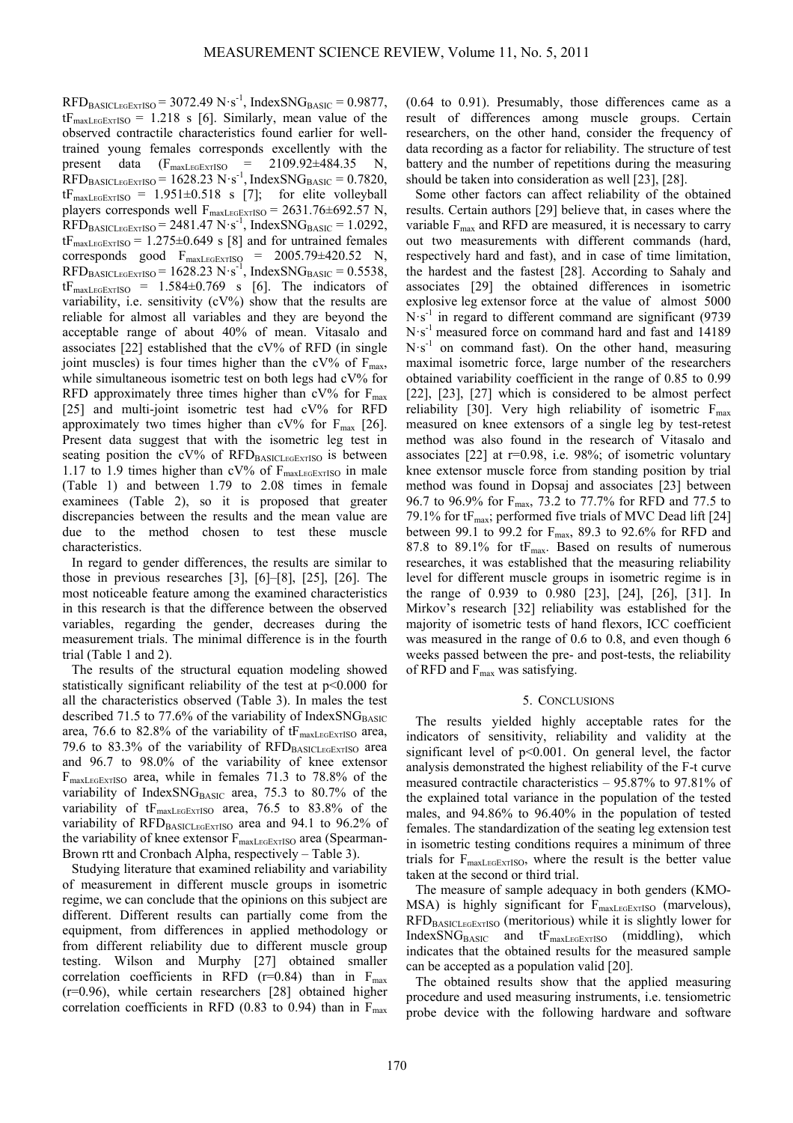$RFD_{BASELEGEXTISO} = 3072.49 \text{ N} \cdot \text{s}^{-1}$ , IndexSNG<sub>BASIC</sub> = 0.9877,  $tF_{\text{maxLEGEXTISO}} = 1.218$  s [6]. Similarly, mean value of the observed contractile characteristics found earlier for welltrained young females corresponds excellently with the present data  $(F_{\text{maxLEGEXTISO}})$  = 2109.92 $\pm$ 484.35 N,  $RFD_{BASEILEGEXT} = 1628.23 \text{ N} \cdot \text{s}^{-1}$ , IndexSNG<sub>BASIC</sub> = 0.7820,  $tF_{maxLEGEXTISO}$  = 1.951±0.518 s [7]; for elite volleyball players corresponds well  $F_{\text{maxLEGEXTISO}} = 2631.76 \pm 692.57 \text{ N}$ ,  $RFD_{BASICLEGEXTISO} = 2481.47 \text{ N} \cdot \text{s}^{-1}$ , IndexSNG<sub>BASIC</sub> = 1.0292,  $tF_{\text{maxLEGEXTISO}} = 1.275 \pm 0.649$  s [8] and for untrained females  $corresponds$  good  $F_{\text{maxLEGEXTISO}}$  = 2005.79±420.52 N,  $RFD_{BASICLEGEXTISO} = 1628.23 \text{ N} \cdot \text{s}^{-1}$ , IndexSNG<sub>BASIC</sub> = 0.5538,  $tF_{\text{maxLEGEXTISO}} = 1.584 \pm 0.769$  s [6]. The indicators of variability, i.e. sensitivity  $(cV\%)$  show that the results are reliable for almost all variables and they are beyond the acceptable range of about 40% of mean. Vitasalo and associates [22] established that the cV% of RFD (in single joint muscles) is four times higher than the  $cV\%$  of  $F_{\text{max}}$ , while simultaneous isometric test on both legs had cV% for RFD approximately three times higher than  $cV\%$  for  $F_{\text{max}}$ [25] and multi-joint isometric test had cV% for RFD approximately two times higher than  $cV\%$  for  $F_{\text{max}}$  [26]. Present data suggest that with the isometric leg test in seating position the  $cV\%$  of RFD<sub>BASICLEGEXTISO</sub> is between 1.17 to 1.9 times higher than  $cV\%$  of  $F_{maxLEGEXTISO}$  in male (Table 1) and between 1.79 to 2.08 times in female examinees (Table 2), so it is proposed that greater discrepancies between the results and the mean value are due to the method chosen to test these muscle characteristics.

In regard to gender differences, the results are similar to those in previous researches [3], [6]–[8], [25], [26]. The most noticeable feature among the examined characteristics in this research is that the difference between the observed variables, regarding the gender, decreases during the measurement trials. The minimal difference is in the fourth trial (Table 1 and 2).

The results of the structural equation modeling showed statistically significant reliability of the test at  $p<0.000$  for all the characteristics observed (Table 3). In males the test described 71.5 to 77.6% of the variability of IndexSN $G_{\text{BASIC}}$ area, 76.6 to 82.8% of the variability of  $tF_{maxLeGEXTISO}$  area, 79.6 to 83.3% of the variability of  $\text{RFD}_{\text{BASICLEGEXT}ISO}$  area and 96.7 to 98.0% of the variability of knee extensor  $F_{\text{maxLEGEXTISO}}$  area, while in females 71.3 to 78.8% of the variability of IndexSNG<sub>BASIC</sub> area, 75.3 to 80.7% of the variability of  $tF_{maxLEGEXTISO}$  area, 76.5 to 83.8% of the variability of RFD<sub>BASICLEGEXTISO</sub> area and 94.1 to 96.2% of the variability of knee extensor  $F_{\text{maxLEGEXTISO}}$  area (Spearman-Brown rtt and Cronbach Alpha, respectively – Table 3).

Studying literature that examined reliability and variability of measurement in different muscle groups in isometric regime, we can conclude that the opinions on this subject are different. Different results can partially come from the equipment, from differences in applied methodology or from different reliability due to different muscle group testing. Wilson and Murphy [27] obtained smaller correlation coefficients in RFD ( $r=0.84$ ) than in  $F_{\text{max}}$ (r=0.96), while certain researchers [28] obtained higher correlation coefficients in RFD (0.83 to 0.94) than in  $F_{\text{max}}$ 

(0.64 to 0.91). Presumably, those differences came as a result of differences among muscle groups. Certain researchers, on the other hand, consider the frequency of data recording as a factor for reliability. The structure of test battery and the number of repetitions during the measuring should be taken into consideration as well [23], [28].

Some other factors can affect reliability of the obtained results. Certain authors [29] believe that, in cases where the variable  $F_{\text{max}}$  and RFD are measured, it is necessary to carry out two measurements with different commands (hard, respectively hard and fast), and in case of time limitation, the hardest and the fastest [28]. According to Sahaly and associates [29] the obtained differences in isometric explosive leg extensor force at the value of almost 5000  $N·s<sup>-1</sup>$  in regard to different command are significant (9739) N·s<sup>-1</sup> measured force on command hard and fast and 14189  $N \cdot s^{-1}$  on command fast). On the other hand, measuring maximal isometric force, large number of the researchers obtained variability coefficient in the range of 0.85 to 0.99 [22], [23], [27] which is considered to be almost perfect reliability [30]. Very high reliability of isometric  $F_{\text{max}}$ measured on knee extensors of a single leg by test-retest method was also found in the research of Vitasalo and associates [22] at r=0.98, i.e. 98%; of isometric voluntary knee extensor muscle force from standing position by trial method was found in Dopsaj and associates [23] between 96.7 to 96.9% for Fmax, 73.2 to 77.7% for RFD and 77.5 to 79.1% for  $tF_{max}$ ; performed five trials of MVC Dead lift [24] between 99.1 to 99.2 for  $F_{\text{max}}$ , 89.3 to 92.6% for RFD and 87.8 to 89.1% for  $tF_{\text{max}}$ . Based on results of numerous researches, it was established that the measuring reliability level for different muscle groups in isometric regime is in the range of 0.939 to 0.980 [23], [24], [26], [31]. In Mirkov's research [32] reliability was established for the majority of isometric tests of hand flexors, ICC coefficient was measured in the range of 0.6 to 0.8, and even though 6 weeks passed between the pre- and post-tests, the reliability of RFD and  $F_{\text{max}}$  was satisfying.

## 5. CONCLUSIONS

The results yielded highly acceptable rates for the indicators of sensitivity, reliability and validity at the significant level of p<0.001. On general level, the factor analysis demonstrated the highest reliability of the F-t curve measured contractile characteristics – 95.87% to 97.81% of the explained total variance in the population of the tested males, and 94.86% to 96.40% in the population of tested females. The standardization of the seating leg extension test in isometric testing conditions requires a minimum of three trials for  $F_{\text{maxLEGEXTISO}}$ , where the result is the better value taken at the second or third trial.

The measure of sample adequacy in both genders (KMO-MSA) is highly significant for F<sub>maxLEGEXTISO</sub> (marvelous), RFDBASICLEGEXTISO (meritorious) while it is slightly lower for  $Index SNG<sub>BASIC</sub>$  and  $tF<sub>maxLEGEXT</sub>$  (middling), which indicates that the obtained results for the measured sample can be accepted as a population valid [20].

The obtained results show that the applied measuring procedure and used measuring instruments, i.e. tensiometric probe device with the following hardware and software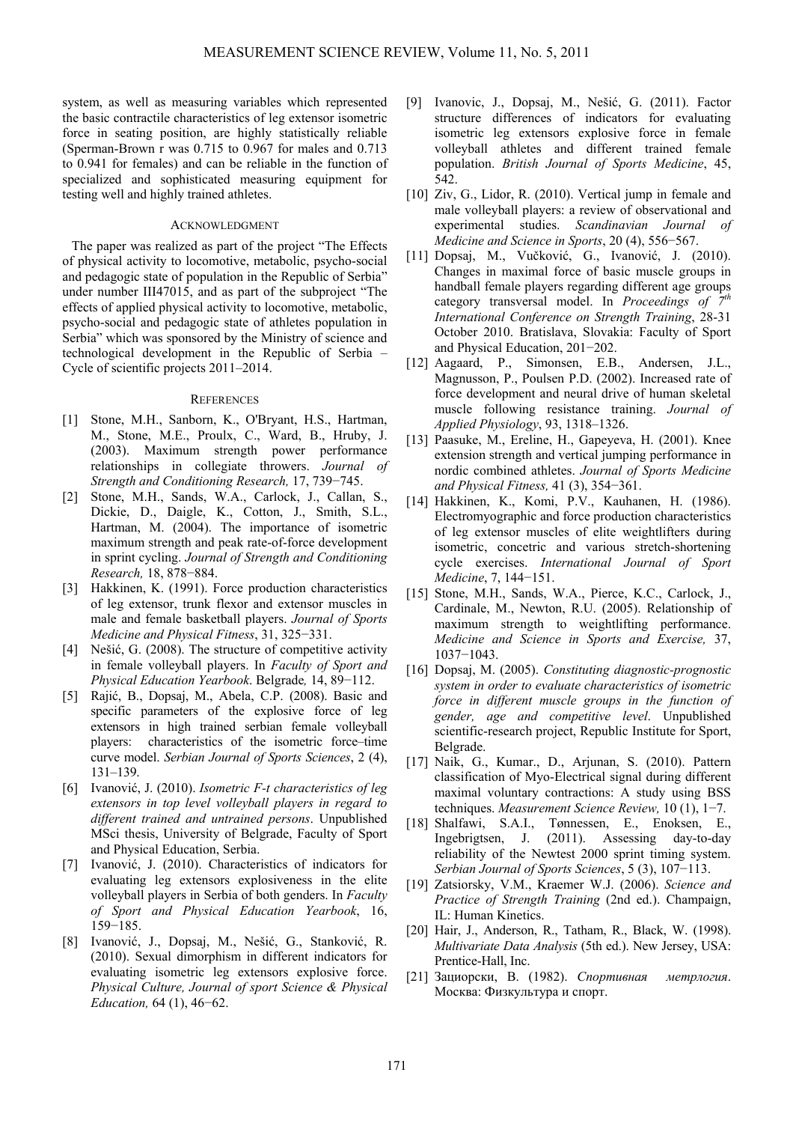system, as well as measuring variables which represented the basic contractile characteristics of leg extensor isometric force in seating position, are highly statistically reliable (Sperman-Brown r was 0.715 to 0.967 for males and 0.713 to 0.941 for females) and can be reliable in the function of specialized and sophisticated measuring equipment for testing well and highly trained athletes.

# ACKNOWLEDGMENT

The paper was realized as part of the project "The Effects of physical activity to locomotive, metabolic, psycho-social and pedagogic state of population in the Republic of Serbia" under number III47015, and as part of the subproject "The effects of applied physical activity to locomotive, metabolic, psycho-social and pedagogic state of athletes population in Serbia" which was sponsored by the Ministry of science and technological development in the Republic of Serbia – Cycle of scientific projects 2011–2014.

## **REFERENCES**

- [1] Stone, M.H., Sanborn, K., O'Bryant, H.S., Hartman, M., Stone, M.E., Proulx, C., Ward, B., Hruby, J. (2003). Maximum strength power performance relationships in collegiate throwers. *Journal of Strength and Conditioning Research,* 17, 739−745.
- [2] Stone, M.H., Sands, W.A., Carlock, J., Callan, S., Dickie, D., Daigle, K., Cotton, J., Smith, S.L., Hartman, M. (2004). The importance of isometric maximum strength and peak rate-of-force development in sprint cycling. *Journal of Strength and Conditioning Research,* 18, 878−884.
- [3] Hakkinen, K. (1991). Force production characteristics of leg extensor, trunk flexor and extensor muscles in male and female basketball players. *Journal of Sports Medicine and Physical Fitness*, 31, 325−331.
- [4] Nešić, G. (2008). The structure of competitive activity in female volleyball players. In *Faculty of Sport and Physical Education Yearbook*. Belgrade*,* 14, 89−112.
- [5] Rajić, B., Dopsaj, M., Abela, C.P. (2008). Basic and specific parameters of the explosive force of leg extensors in high trained serbian female volleyball players: characteristics of the isometric force–time curve model. *Serbian Journal of Sports Sciences*, 2 (4), 131–139.
- [6] Ivanović, J. (2010). *Isometric F-t characteristics of leg extensors in top level volleyball players in regard to different trained and untrained persons*. Unpublished MSci thesis, University of Belgrade, Faculty of Sport and Physical Education, Serbia.
- [7] Ivanović, J. (2010). Characteristics of indicators for evaluating leg extensors explosiveness in the elite volleyball players in Serbia of both genders. In *Faculty of Sport and Physical Education Yearbook*, 16, 159−185.
- [8] Ivanović, J., Dopsaj, M., Nešić, G., Stanković, R. (2010). Sexual dimorphism in different indicators for evaluating isometric leg extensors explosive force. *Physical Culture, Journal of sport Science & Physical Education,* 64 (1), 46−62.
- [9] Ivanovic, J., Dopsaj, M., Nešić, G. (2011). Factor structure differences of indicators for evaluating isometric leg extensors explosive force in female volleyball athletes and different trained female population. *British Journal of Sports Medicine*, 45, 542.
- [10] Ziv, G., Lidor, R. (2010). Vertical jump in female and male volleyball players: a review of observational and experimental studies. *Scandinavian Journal of Medicine and Science in Sports*, 20 (4), 556−567.
- [11] Dopsaj, M., Vučković, G., Ivanović, J. (2010). Changes in maximal force of basic muscle groups in handball female players regarding different age groups category transversal model. In *Proceedings of 7th International Conference on Strength Training*, 28-31 October 2010. Bratislava, Slovakia: Faculty of Sport and Physical Education, 201−202.
- [12] Aagaard, P., Simonsen, E.B., Andersen, J.L., Magnusson, P., Poulsen P.D. (2002). Increased rate of force development and neural drive of human skeletal muscle following resistance training. *Journal of Applied Physiology*, 93, 1318–1326.
- [13] Paasuke, M., Ereline, H., Gapeyeva, H. (2001). Knee extension strength and vertical jumping performance in nordic combined athletes. *Journal of Sports Medicine and Physical Fitness,* 41 (3), 354−361.
- [14] Hakkinen, K., Komi, P.V., Kauhanen, H. (1986). Electromyographic and force production characteristics of leg extensor muscles of elite weightlifters during isometric, concetric and various stretch-shortening cycle exercises. *International Journal of Sport Medicine*, 7, 144−151.
- [15] Stone, M.H., Sands, W.A., Pierce, K.C., Carlock, J., Cardinale, M., Newton, R.U. (2005). Relationship of maximum strength to weightlifting performance. *Medicine and Science in Sports and Exercise,* 37, 1037−1043.
- [16] Dopsaj, M. (2005). *Constituting diagnostic-prognostic system in order to evaluate characteristics of isometric force in different muscle groups in the function of gender, age and competitive level*. Unpublished scientific-research project, Republic Institute for Sport, Belgrade.
- [17] Naik, G., Kumar., D., Arjunan, S. (2010). Pattern classification of Myo-Electrical signal during different maximal voluntary contractions: A study using BSS techniques. *Measurement Science Review,* 10 (1), 1−7.
- [18] Shalfawi, S.A.I., Tønnessen, E., Enoksen, E., Ingebrigtsen, J. (2011). Assessing day-to-day reliability of the Newtest 2000 sprint timing system. *Serbian Journal of Sports Sciences*, 5 (3), 107−113.
- [19] Zatsiorsky, V.M., Kraemer W.J. (2006). *Science and Practice of Strength Training* (2nd ed.). Champaign, IL: Human Kinetics.
- [20] Hair, J., Anderson, R., Tatham, R., Black, W. (1998). *Multivariate Data Analysis* (5th ed.). New Jersey, USA: Prentice-Hall, Inc.
- [21] Зациорски, В. (1982). *Спортивная метрлогия*. Москва: Физкультура и спорт.